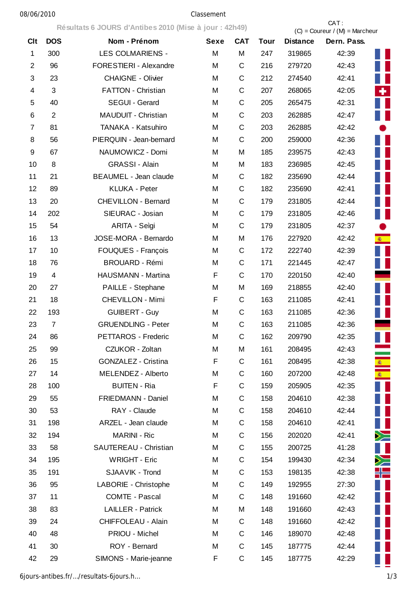## 08/06/2010 Classement

**Résultats 6 JOURS d'Antibes 2010 (Mise à jour : 42h49)** CAT :

|                         |                | Resultats 6 JOURS d'Antibés 2010 (MISE à Jour : 42049) |             |             |             | $(C) =$ Coureur / $(M) =$ Marcheur |                 |  |
|-------------------------|----------------|--------------------------------------------------------|-------------|-------------|-------------|------------------------------------|-----------------|--|
| Clt                     | <b>DOS</b>     | Nom - Prénom                                           | <b>Sexe</b> | <b>CAT</b>  | <b>Tour</b> | <b>Distance</b>                    | Dern. Pass.     |  |
| $\mathbf{1}$            | 300            | <b>LES COLMARIENS -</b>                                | M           | M           | 247         | 319865                             | 42:39           |  |
| $\overline{2}$          | 96             | FORESTIERI - Alexandre                                 | M           | C           | 216         | 279720                             | ш<br>42:43      |  |
| 3                       | 23             | <b>CHAIGNE - Olivier</b>                               | M           | C           | 212         | 274540                             | 42:41           |  |
| $\overline{\mathbf{4}}$ | 3              | FATTON - Christian                                     | M           | $\mathsf C$ | 207         | 268065                             | ÷.<br>42:05     |  |
| 5                       | 40             | SEGUI - Gerard                                         | M           | $\mathsf C$ | 205         | 265475                             | 42:31           |  |
| 6                       | 2              | MAUDUIT - Christian                                    | M           | C           | 203         | 262885                             | H<br>42:47      |  |
| $\overline{7}$          | 81             | TANAKA - Katsuhiro                                     | M           | C           | 203         | 262885                             | 42:42           |  |
| 8                       | 56             | PIERQUIN - Jean-bernard                                | M           | $\mathsf C$ | 200         | 259000                             | 42:36           |  |
| 9                       | 67             | NAUMOWICZ - Domi                                       | M           | M           | 185         | 239575                             | 42:43           |  |
| 10                      | 8              | <b>GRASSI - Alain</b>                                  | M           | M           | 183         | 236985                             | 42:45           |  |
| 11                      | 21             | <b>BEAUMEL - Jean claude</b>                           | M           | C           | 182         | 235690                             | 42:44           |  |
| 12                      | 89             | <b>KLUKA - Peter</b>                                   | M           | $\mathsf C$ | 182         | 235690                             | 42:41           |  |
| 13                      | 20             | <b>CHEVILLON - Bernard</b>                             | M           | C           | 179         | 231805                             | 42:44<br>H      |  |
| 14                      | 202            | SIEURAC - Josian                                       | M           | C           | 179         | 231805                             | 42:46           |  |
| 15                      | 54             | ARITA - Seìgi                                          | M           | $\mathsf C$ | 179         | 231805                             | 42:37           |  |
| 16                      | 13             | JOSE-MORA - Bernardo                                   | M           | M           | 176         | 227920                             | s.<br>42:42     |  |
| 17                      | 10             | FOUQUES - François                                     | M           | C           | 172         | 222740                             | 42:39           |  |
| 18                      | 76             | <b>BROUARD - Rémi</b>                                  | M           | C           | 171         | 221445                             | 42:47           |  |
| 19                      | $\overline{4}$ | HAUSMANN - Martina                                     | F           | $\mathsf C$ | 170         | 220150                             | 42:40           |  |
| 20                      | 27             | PAILLE - Stephane                                      | M           | M           | 169         | 218855                             | 42:40           |  |
| 21                      | 18             | <b>CHEVILLON - Mimi</b>                                | F           | C           | 163         | 211085                             | 42:41           |  |
| 22                      | 193            | <b>GUIBERT - Guy</b>                                   | M           | C           | 163         | 211085                             | 42:36           |  |
| 23                      | $\overline{7}$ | <b>GRUENDLING - Peter</b>                              | M           | $\mathsf C$ | 163         | 211085                             | 42:36           |  |
| 24                      | 86             | PETTAROS - Frederic                                    | M           | $\mathsf C$ | 162         | 209790                             | 42:35           |  |
| 25                      | 99             | CZUKOR - Zoltan                                        | M           | M           | 161         | 208495                             | 42:43           |  |
| 26                      | 15             | <b>GONZALEZ - Cristina</b>                             | F           | C           | 161         | 208495                             | 42:38<br>密<br>一 |  |
| 27                      | 14             | MELENDEZ - Alberto                                     | M           | C           | 160         | 207200                             | s.<br>42:48     |  |
| 28                      | 100            | <b>BUITEN - Ria</b>                                    | F           | C           | 159         | 205905                             | 42:35           |  |
| 29                      | 55             | FRIEDMANN - Daniel                                     | M           | C           | 158         | 204610                             | 42:38           |  |
| 30                      | 53             | RAY - Claude                                           | M           | C           | 158         | 204610                             | Ш<br>42:44      |  |
| 31                      | 198            | ARZEL - Jean claude                                    | M           | C           | 158         | 204610                             | H<br>42:41      |  |
| 32                      | 194            | <b>MARINI - Ric</b>                                    | M           | C           | 156         | 202020                             | $\geq$<br>42:41 |  |
| 33                      | 58             | SAUTEREAU - Christian                                  | M           | C           | 155         | 200725                             | 41:28           |  |
| 34                      | 195            | <b>WRIGHT - Eric</b>                                   | M           | C           | 154         | 199430                             | $\geq$<br>42:34 |  |
| 35                      | 191            | SJAAVIK - Trond                                        | M           | C           | 153         | 198135                             | ╬═<br>42:38     |  |
| 36                      | 95             | LABORIE - Christophe                                   | M           | C           | 149         | 192955                             | 27:30           |  |
| 37                      | 11             | <b>COMTE - Pascal</b>                                  | M           | C           | 148         | 191660                             | ×<br>42:42      |  |
| 38                      | 83             | <b>LAILLER - Patrick</b>                               | M           | Μ           | 148         | 191660                             | Ш<br>42:43      |  |
| 39                      | 24             | <b>CHIFFOLEAU - Alain</b>                              | M           | C           | 148         | 191660                             | ш<br>42:42      |  |
| 40                      | 48             | PRIOU - Michel                                         | M           | C           | 146         | 189070                             | H<br>42:48      |  |
| 41                      | 30             | ROY - Bernard                                          | M           | C           | 145         | 187775                             | 42:44           |  |
| 42                      | 29             | SIMONS - Marie-jeanne                                  | F           | C           | 145         | 187775                             | 42:29           |  |

6jours-antibes.fr/…/resultats-6jours.h… 1/3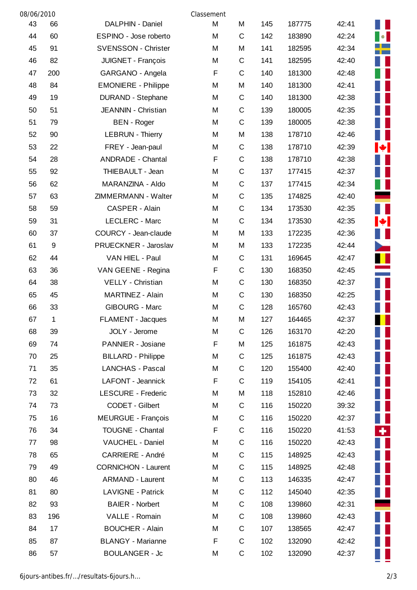| 08/06/2010 |       |                            | Classement |             |     |        |       |                |
|------------|-------|----------------------------|------------|-------------|-----|--------|-------|----------------|
| 43         | 66    | DALPHIN - Daniel           | M          | M           | 145 | 187775 | 42:41 |                |
| 44         | 60    | ESPINO - Jose roberto      | M          | C           | 142 | 183890 | 42:24 | $\bullet$      |
| 45         | 91    | <b>SVENSSON - Christer</b> | М          | M           | 141 | 182595 | 42:34 |                |
| 46         | 82    | JUIGNET - François         | M          | C           | 141 | 182595 | 42:40 |                |
| 47         | 200   | GARGANO - Angela           | F          | $\mathsf C$ | 140 | 181300 | 42:48 |                |
| 48         | 84    | <b>EMONIERE - Philippe</b> | M          | M           | 140 | 181300 | 42:41 |                |
| 49         | 19    | <b>DURAND - Stephane</b>   | М          | $\mathsf C$ | 140 | 181300 | 42:38 |                |
| 50         | 51    | JEANNIN - Christian        | М          | $\mathsf C$ | 139 | 180005 | 42:35 |                |
| 51         | 79    | <b>BEN</b> - Roger         | M          | C           | 139 | 180005 | 42:38 |                |
| 52         | 90    | <b>LEBRUN - Thierry</b>    | M          | M           | 138 | 178710 | 42:46 |                |
| 53         | 22    | FREY - Jean-paul           | М          | C           | 138 | 178710 | 42:39 | ∙∎             |
| 54         | 28    | <b>ANDRADE - Chantal</b>   | F          | $\mathsf C$ | 138 | 178710 | 42:38 |                |
| 55         | 92    | THIEBAULT - Jean           | M          | C           | 137 | 177415 | 42:37 |                |
| 56         | 62    | MARANZINA - Aldo           | M          | $\mathsf C$ | 137 | 177415 | 42:34 |                |
| 57         | 63    | ZIMMERMANN - Walter        | M          | $\mathsf C$ | 135 | 174825 | 42:40 |                |
| 58         | 59    | CASPER - Alain             | M          | C           | 134 | 173530 | 42:35 |                |
| 59         | 31    | LECLERC - Marc             | M          | C           | 134 | 173530 | 42:35 | ◆              |
| 60         | 37    | COURCY - Jean-claude       | M          | M           | 133 | 172235 | 42:36 |                |
| 61         | $9\,$ | PRUECKNER - Jaroslav       | M          | M           | 133 | 172235 | 42:44 | <b>Service</b> |
| 62         | 44    | VAN HIEL - Paul            | М          | C           | 131 | 169645 | 42:47 |                |
| 63         | 36    | VAN GEENE - Regina         | F          | $\mathsf C$ | 130 | 168350 | 42:45 |                |
| 64         | 38    | VELLY - Christian          | М          | $\mathsf C$ | 130 | 168350 | 42:37 |                |
| 65         | 45    | MARTINEZ - Alain           | M          | C           | 130 | 168350 | 42:25 |                |
| 66         | 33    | <b>GIBOURG - Marc</b>      | M          | C           | 128 | 165760 | 42:43 |                |
| 67         | 1     | FLAMENT - Jacques          | M          | M           | 127 | 164465 | 42:37 |                |
| 68         | 39    | JOLY - Jerome              | Μ          | C           | 126 | 163170 | 42:20 |                |
| 69         | 74    | PANNIER - Josiane          | F          | M           | 125 | 161875 | 42:43 |                |
| 70         | 25    | <b>BILLARD - Philippe</b>  | М          | C           | 125 | 161875 | 42:43 |                |
| 71         | 35    | <b>LANCHAS - Pascal</b>    | M          | C           | 120 | 155400 | 42:40 |                |
| 72         | 61    | LAFONT - Jeannick          | F          | $\mathsf C$ | 119 | 154105 | 42:41 |                |
| 73         | 32    | <b>LESCURE - Frederic</b>  | M          | M           | 118 | 152810 | 42:46 |                |
| 74         | 73    | CODET - Gilbert            | M          | C           | 116 | 150220 | 39:32 |                |
| 75         | 16    | <b>MEURGUE - François</b>  | Μ          | C           | 116 | 150220 | 42:37 |                |
| 76         | 34    | <b>TOUGNE - Chantal</b>    | F          | C           | 116 | 150220 | 41:53 | ٠.             |
| 77         | 98    | VAUCHEL - Daniel           | M          | $\mathsf C$ | 116 | 150220 | 42:43 |                |
| 78         | 65    | <b>CARRIERE - André</b>    | М          | $\mathsf C$ | 115 | 148925 | 42:43 |                |
| 79         | 49    | <b>CORNICHON - Laurent</b> | М          | $\mathsf C$ | 115 | 148925 | 42:48 |                |
| 80         | 46    | <b>ARMAND - Laurent</b>    | M          | C           | 113 | 146335 | 42:47 |                |
| 81         | 80    | <b>LAVIGNE - Patrick</b>   | M          | С           | 112 | 145040 | 42:35 |                |
| 82         | 93    | <b>BAIER - Norbert</b>     | M          | C           | 108 | 139860 | 42:31 |                |
| 83         | 196   | VALLE - Romain             | M          | C           | 108 | 139860 | 42:43 |                |
| 84         | 17    | <b>BOUCHER - Alain</b>     | M          | C           | 107 | 138565 | 42:47 |                |
| 85         | 87    | <b>BLANGY - Marianne</b>   | F          | $\mathsf C$ | 102 | 132090 | 42:42 |                |
| 86         | 57    | <b>BOULANGER - Jc</b>      | М          | C           | 102 | 132090 | 42:37 |                |
|            |       |                            |            |             |     |        |       |                |